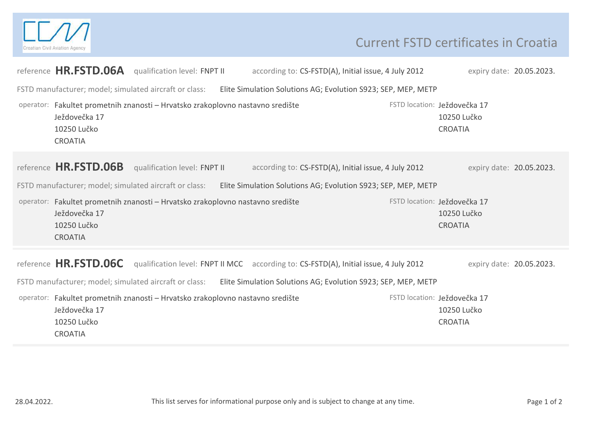

## Current FSTD certificates in Croatia

|                                                                                                                         |                                                | reference HR.FSTD.06A qualification level: FNPT II                             |  | according to: CS-FSTD(A), Initial issue, 4 July 2012                                  |  |  | expiry date: 20.05.2023.                                      |  |  |
|-------------------------------------------------------------------------------------------------------------------------|------------------------------------------------|--------------------------------------------------------------------------------|--|---------------------------------------------------------------------------------------|--|--|---------------------------------------------------------------|--|--|
| FSTD manufacturer; model; simulated aircraft or class:<br>Elite Simulation Solutions AG; Evolution S923; SEP, MEP, METP |                                                |                                                                                |  |                                                                                       |  |  |                                                               |  |  |
|                                                                                                                         | Ježdovečka 17<br>10250 Lučko<br><b>CROATIA</b> | operator: Fakultet prometnih znanosti - Hrvatsko zrakoplovno nastavno središte |  |                                                                                       |  |  | FSTD location: Ježdovečka 17<br>10250 Lučko<br><b>CROATIA</b> |  |  |
|                                                                                                                         | reference HR.FSTD.06B                          | qualification level: FNPT II                                                   |  | according to: CS-FSTD(A), Initial issue, 4 July 2012                                  |  |  | expiry date: 20.05.2023.                                      |  |  |
| FSTD manufacturer; model; simulated aircraft or class:<br>Elite Simulation Solutions AG; Evolution S923; SEP, MEP, METP |                                                |                                                                                |  |                                                                                       |  |  |                                                               |  |  |
|                                                                                                                         | Ježdovečka 17<br>10250 Lučko<br><b>CROATIA</b> | operator: Fakultet prometnih znanosti - Hrvatsko zrakoplovno nastavno središte |  |                                                                                       |  |  | FSTD location: Ježdovečka 17<br>10250 Lučko<br><b>CROATIA</b> |  |  |
|                                                                                                                         | reference HR.FSTD.06C                          |                                                                                |  | qualification level: FNPT II MCC according to: CS-FSTD(A), Initial issue, 4 July 2012 |  |  | expiry date: 20.05.2023.                                      |  |  |
| FSTD manufacturer; model; simulated aircraft or class:<br>Elite Simulation Solutions AG; Evolution S923; SEP, MEP, METP |                                                |                                                                                |  |                                                                                       |  |  |                                                               |  |  |
|                                                                                                                         | Ježdovečka 17<br>10250 Lučko<br><b>CROATIA</b> | operator: Fakultet prometnih znanosti - Hrvatsko zrakoplovno nastavno središte |  |                                                                                       |  |  | FSTD location: Ježdovečka 17<br>10250 Lučko<br><b>CROATIA</b> |  |  |